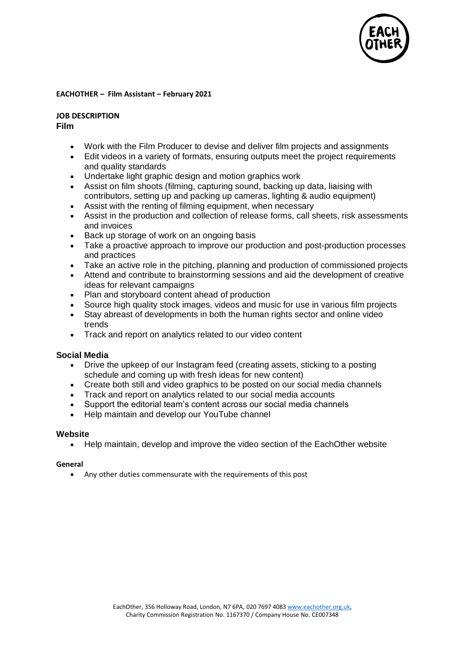

#### **EACHOTHER – Film Assistant – February 2021**

**JOB DESCRIPTION**

**Film**

- Work with the Film Producer to devise and deliver film projects and assignments
- Edit videos in a variety of formats, ensuring outputs meet the project requirements and quality standards
- Undertake light graphic design and motion graphics work
- Assist on film shoots (filming, capturing sound, backing up data, liaising with contributors, setting up and packing up cameras, lighting & audio equipment)
- Assist with the renting of filming equipment, when necessary
- Assist in the production and collection of release forms, call sheets, risk assessments and invoices
- Back up storage of work on an ongoing basis
- Take a proactive approach to improve our production and post-production processes and practices
- Take an active role in the pitching, planning and production of commissioned projects
- Attend and contribute to brainstorming sessions and aid the development of creative ideas for relevant campaigns
- Plan and storyboard content ahead of production
- Source high quality stock images, videos and music for use in various film projects
- Stay abreast of developments in both the human rights sector and online video trends
- Track and report on analytics related to our video content

## **Social Media**

- Drive the upkeep of our Instagram feed (creating assets, sticking to a posting schedule and coming up with fresh ideas for new content)
- Create both still and video graphics to be posted on our social media channels
- Track and report on analytics related to our social media accounts
- Support the editorial team's content across our social media channels
- Help maintain and develop our YouTube channel

#### **Website**

• Help maintain, develop and improve the video section of the EachOther website

#### **General**

• Any other duties commensurate with the requirements of this post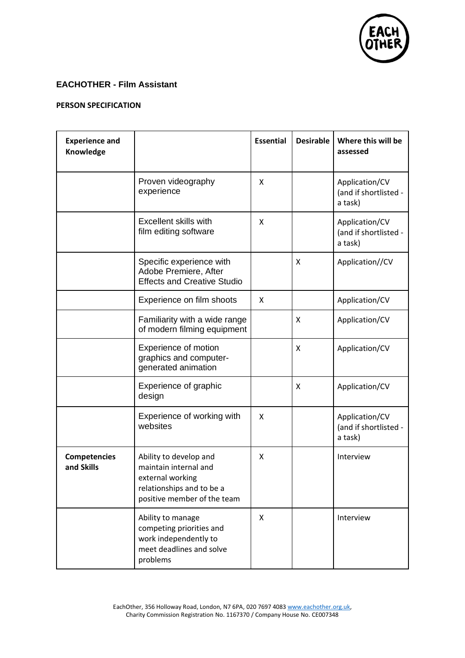

# **EACHOTHER - Film Assistant**

### **PERSON SPECIFICATION**

| <b>Experience and</b><br>Knowledge |                                                                                                                                 | <b>Essential</b> | <b>Desirable</b> | Where this will be<br>assessed                     |
|------------------------------------|---------------------------------------------------------------------------------------------------------------------------------|------------------|------------------|----------------------------------------------------|
|                                    | Proven videography<br>experience                                                                                                | X                |                  | Application/CV<br>(and if shortlisted -<br>a task) |
|                                    | <b>Excellent skills with</b><br>film editing software                                                                           | X                |                  | Application/CV<br>(and if shortlisted -<br>a task) |
|                                    | Specific experience with<br>Adobe Premiere, After<br><b>Effects and Creative Studio</b>                                         |                  | X                | Application//CV                                    |
|                                    | Experience on film shoots                                                                                                       | X                |                  | Application/CV                                     |
|                                    | Familiarity with a wide range<br>of modern filming equipment                                                                    |                  | X                | Application/CV                                     |
|                                    | Experience of motion<br>graphics and computer-<br>generated animation                                                           |                  | X                | Application/CV                                     |
|                                    | Experience of graphic<br>design                                                                                                 |                  | X                | Application/CV                                     |
|                                    | Experience of working with<br>websites                                                                                          | X                |                  | Application/CV<br>(and if shortlisted -<br>a task) |
| <b>Competencies</b><br>and Skills  | Ability to develop and<br>maintain internal and<br>external working<br>relationships and to be a<br>positive member of the team | X                |                  | Interview                                          |
|                                    | Ability to manage<br>competing priorities and<br>work independently to<br>meet deadlines and solve<br>problems                  | X                |                  | Interview                                          |